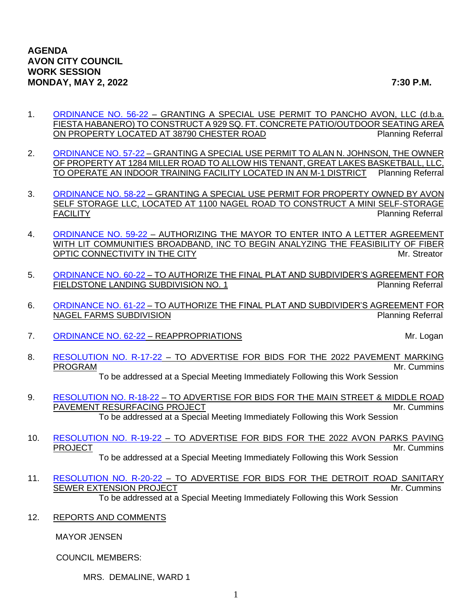- 1. [ORDINANCE NO. 56-22](https://www.cityofavon.com/DocumentCenter/View/7806/Ordinance-No-56-22-Fiesta-Habanero---SUP) GRANTING A SPECIAL USE PERMIT TO PANCHO AVON, LLC (d.b.a. FIESTA HABANERO) TO CONSTRUCT A 929 SQ. FT. CONCRETE PATIO/OUTDOOR SEATING AREA ON PROPERTY LOCATED AT 38790 CHESTER ROAD Planning Referral
- 2. [ORDINANCE NO. 57-22](https://www.cityofavon.com/DocumentCenter/View/7807/Ordinance-No-57-22-Great-Lakes-Basketball---SUP) GRANTING A SPECIAL USE PERMIT TO ALAN N. JOHNSON, THE OWNER OF PROPERTY AT 1284 MILLER ROAD TO ALLOW HIS TENANT, GREAT LAKES BASKETBALL, LLC, TO OPERATE AN INDOOR TRAINING FACILITY LOCATED IN AN M-1 DISTRICT Planning Referral
- 3. [ORDINANCE NO. 58-22](https://www.cityofavon.com/DocumentCenter/View/7808/Ordinance-No-58-22-Avon-Self-Storage---SUP-002) GRANTING A SPECIAL USE PERMIT FOR PROPERTY OWNED BY AVON SELF STORAGE LLC, LOCATED AT 1100 NAGEL ROAD TO CONSTRUCT A MINI SELF-STORAGE FACILITY **Provides a structure of the Contract Contract Contract Contract Contract Contract Contract Contract Contract Contract Contract Contract Contract Contract Contract Contract Contract Contract Contract Contract Cont**
- 4. [ORDINANCE NO. 59-22](https://www.cityofavon.com/DocumentCenter/View/7809/Ordinance-No-59-22-Lit-Communities) AUTHORIZING THE MAYOR TO ENTER INTO A LETTER AGREEMENT WITH LIT COMMUNITIES BROADBAND, INC TO BEGIN ANALYZING THE FEASIBILITY OF FIBER OPTIC CONNECTIVITY IN THE CITY **MR** CONNECTIVITY IN THE CITY
- 5. [ORDINANCE NO. 60-22](https://www.cityofavon.com/DocumentCenter/View/7810/Ordinance-No-60-22-Fieldstone-Auth-SDA--PB) TO AUTHORIZE THE FINAL PLAT AND SUBDIVIDER'S AGREEMENT FOR FIELDSTONE LANDING SUBDIVISION NO. 1 Planning Referral
- 6. [ORDINANCE NO. 61-22](https://www.cityofavon.com/DocumentCenter/View/7811/Ordinance-No-61-22-Nagel-Farms--Auth-SDA--PB) TO AUTHORIZE THE FINAL PLAT AND SUBDIVIDER'S AGREEMENT FOR NAGEL FARMS SUBDIVISION **Planning Referral**
- 7. [ORDINANCE NO. 62-22](https://www.cityofavon.com/DocumentCenter/View/7795/Ordinance-No-62-22---Reappropriations) REAPPROPRIATIONS And the state of the state of the Mr. Logan

8. [RESOLUTION NO. R-17-22](https://www.cityofavon.com/DocumentCenter/View/7786/Resolution-No-R-17-22-Pavement-Marking-Prog-Bid-2022) – TO ADVERTISE FOR BIDS FOR THE 2022 PAVEMENT MARKING PROGRAM **Mr. Cummins** 

To be addressed at a Special Meeting Immediately Following this Work Session

- 9. [RESOLUTION NO. R-18-22](https://www.cityofavon.com/DocumentCenter/View/7787/Resolution-No-R-18-22-Main-St-Middle-Road-Resurfacing-Bid) TO ADVERTISE FOR BIDS FOR THE MAIN STREET & MIDDLE ROAD PAVEMENT RESURFACING PROJECT **And a struck of the set of the set of the set of the set of the set of the set of the set of the set of the set of the set of the set of the set of the set of the set of the set of the set of** To be addressed at a Special Meeting Immediately Following this Work Session
- 10. [RESOLUTION NO. R-19-22](https://www.cityofavon.com/DocumentCenter/View/7788/Resolution-No-R-19-22-Park-Paving-Project-Bid-Leg--2022) TO ADVERTISE FOR BIDS FOR THE 2022 AVON PARKS PAVING<br>Mr. Cummins Mr. Cummins

To be addressed at a Special Meeting Immediately Following this Work Session

- 11. [RESOLUTION NO. R-20-22](https://www.cityofavon.com/DocumentCenter/View/7789/Resolution-No-R-20-22-Jaycox-Middleton-Inter-Ped-Imp-Bid-002) TO ADVERTISE FOR BIDS FOR THE DETROIT ROAD SANITARY SEWER EXTENSION PROJECT **SEWER EXTENSION** PROJECT To be addressed at a Special Meeting Immediately Following this Work Session
- 12. REPORTS AND COMMENTS

MAYOR JENSEN

COUNCIL MEMBERS:

MRS. DEMALINE, WARD 1